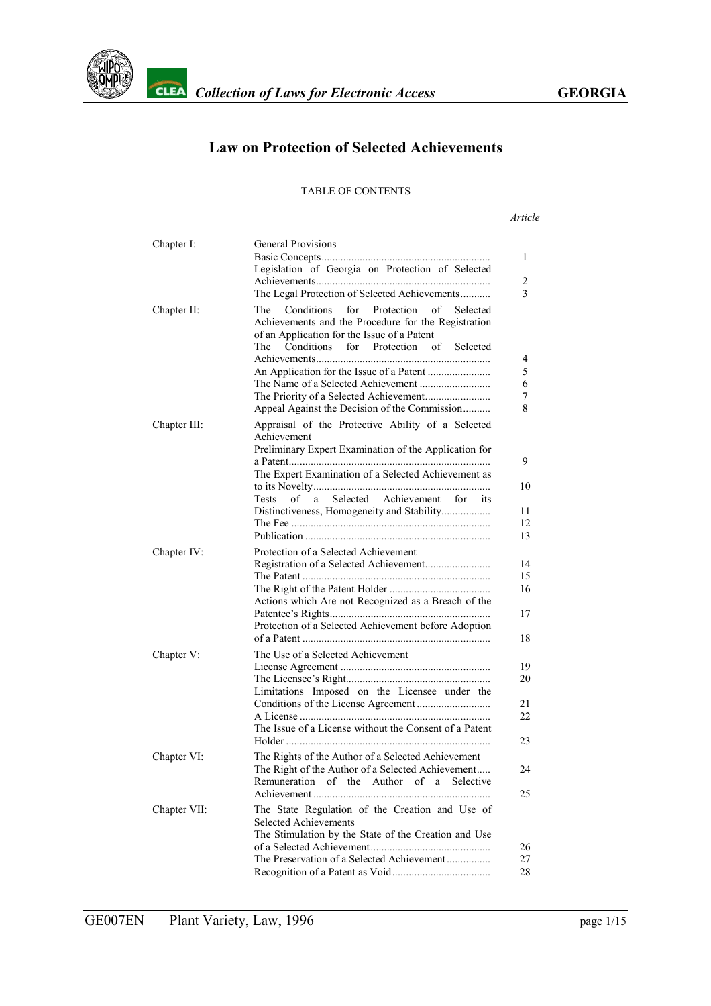

## **Law on Protection of Selected Achievements**

#### TABLE OF CONTENTS

#### *Article*

| Chapter I:   | <b>General Provisions</b><br>1<br>Legislation of Georgia on Protection of Selected                                                                                                                                                                                                                           |
|--------------|--------------------------------------------------------------------------------------------------------------------------------------------------------------------------------------------------------------------------------------------------------------------------------------------------------------|
|              | 2<br>3<br>The Legal Protection of Selected Achievements                                                                                                                                                                                                                                                      |
| Chapter II:  | Conditions<br>for<br>Protection<br>of<br>The<br>Selected<br>Achievements and the Procedure for the Registration<br>of an Application for the Issue of a Patent<br>Conditions<br>for Protection of<br>The<br>Selected<br>4<br>5<br>6<br>7<br>8<br>Appeal Against the Decision of the Commission               |
| Chapter III: | Appraisal of the Protective Ability of a Selected<br>Achievement<br>Preliminary Expert Examination of the Application for<br>9<br>The Expert Examination of a Selected Achievement as<br>10<br>a Selected Achievement for its<br>Tests<br>of<br>Distinctiveness, Homogeneity and Stability<br>11<br>12<br>13 |
| Chapter IV:  | Protection of a Selected Achievement<br>14<br>15<br>16<br>Actions which Are not Recognized as a Breach of the<br>17<br>Protection of a Selected Achievement before Adoption<br>18                                                                                                                            |
| Chapter V:   | The Use of a Selected Achievement<br>19<br>20<br>Limitations Imposed on the Licensee under the<br>21<br>22<br>The Issue of a License without the Consent of a Patent<br>23                                                                                                                                   |
| Chapter VI:  | The Rights of the Author of a Selected Achievement<br>The Right of the Author of a Selected Achievement<br>24<br>Remuneration of the Author of a<br>Selective<br>25                                                                                                                                          |
| Chapter VII: | The State Regulation of the Creation and Use of<br>Selected Achievements<br>The Stimulation by the State of the Creation and Use<br>26<br>The Preservation of a Selected Achievement<br>27<br>28                                                                                                             |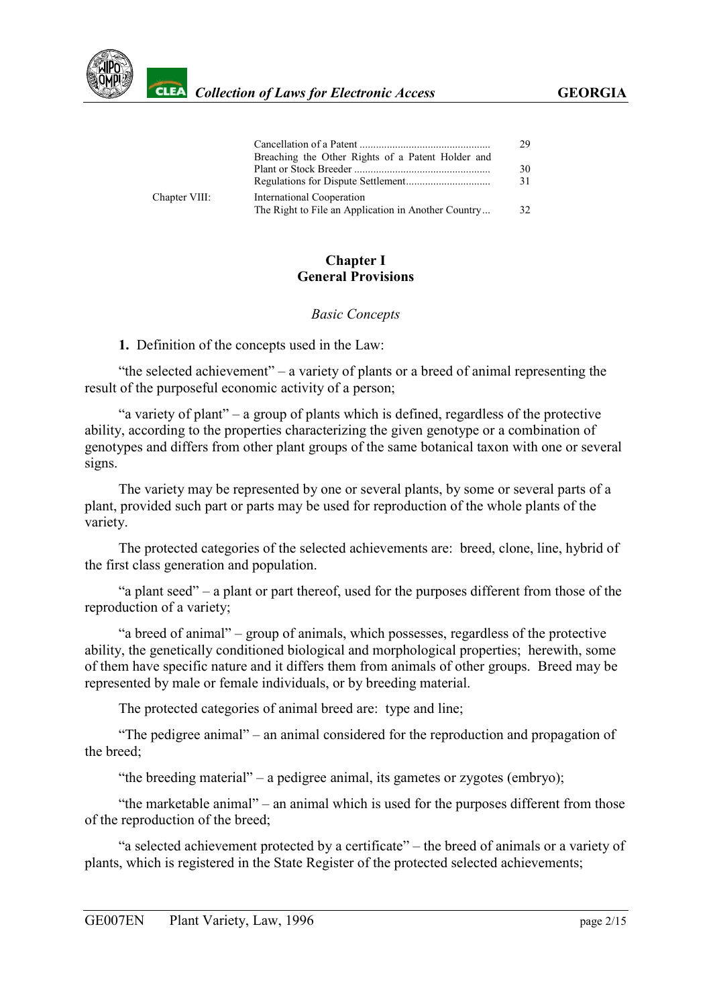

|               | Breaching the Other Rights of a Patent Holder and                                | 29       |
|---------------|----------------------------------------------------------------------------------|----------|
|               |                                                                                  | 30<br>31 |
| Chapter VIII: | International Cooperation<br>The Right to File an Application in Another Country | 32       |

#### **Chapter I General Provisions**

#### *Basic Concepts*

#### <span id="page-1-0"></span>**1.** Definition of the concepts used in the Law:

"the selected achievement" – a variety of plants or a breed of animal representing the result of the purposeful economic activity of a person;

"a variety of plant" – a group of plants which is defined, regardless of the protective ability, according to the properties characterizing the given genotype or a combination of genotypes and differs from other plant groups of the same botanical taxon with one or several signs.

The variety may be represented by one or several plants, by some or several parts of a plant, provided such part or parts may be used for reproduction of the whole plants of the variety.

The protected categories of the selected achievements are: breed, clone, line, hybrid of the first class generation and population.

"a plant seed" – a plant or part thereof, used for the purposes different from those of the reproduction of a variety;

"a breed of animal" – group of animals, which possesses, regardless of the protective ability, the genetically conditioned biological and morphological properties; herewith, some of them have specific nature and it differs them from animals of other groups. Breed may be represented by male or female individuals, or by breeding material.

The protected categories of animal breed are: type and line;

"The pedigree animal" – an animal considered for the reproduction and propagation of the breed;

"the breeding material" – a pedigree animal, its gametes or zygotes (embryo);

"the marketable animal" – an animal which is used for the purposes different from those of the reproduction of the breed;

"a selected achievement protected by a certificate" – the breed of animals or a variety of plants, which is registered in the State Register of the protected selected achievements;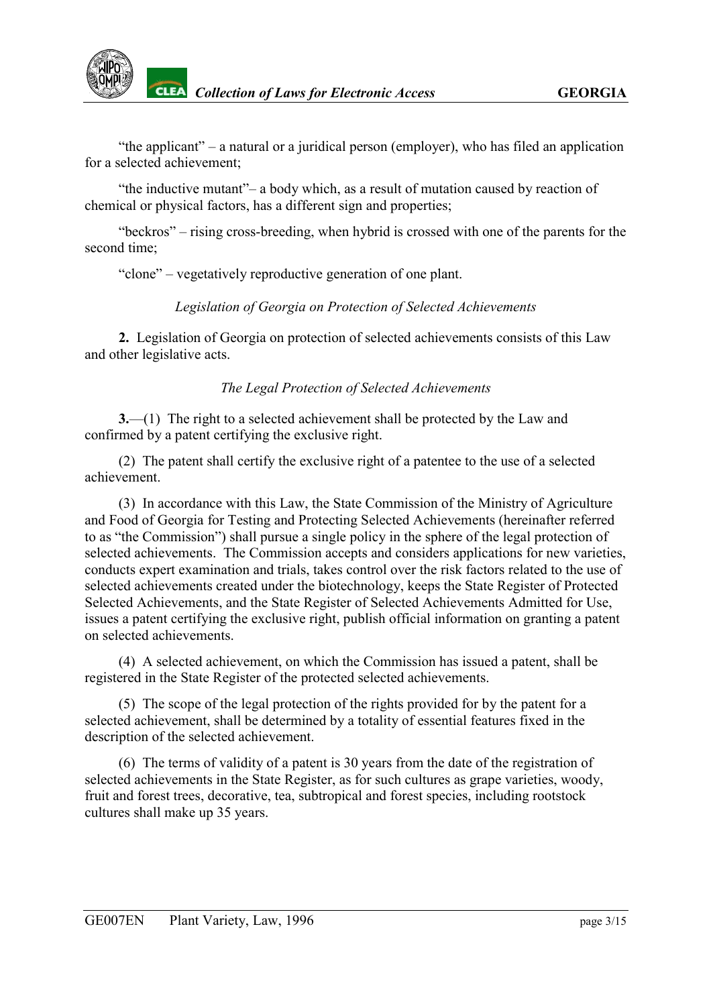"the applicant" – a natural or a juridical person (employer), who has filed an application for a selected achievement;

"the inductive mutant"– a body which, as a result of mutation caused by reaction of chemical or physical factors, has a different sign and properties;

"beckros" – rising cross-breeding, when hybrid is crossed with one of the parents for the second time;

"clone" – vegetatively reproductive generation of one plant.

*Legislation of Georgia on Protection of Selected Achievements*

<span id="page-2-0"></span>**2.** Legislation of Georgia on protection of selected achievements consists of this Law and other legislative acts.

## *The Legal Protection of Selected Achievements*

<span id="page-2-1"></span>**3.**—(1) The right to a selected achievement shall be protected by the Law and confirmed by a patent certifying the exclusive right.

(2) The patent shall certify the exclusive right of a patentee to the use of a selected achievement.

(3) In accordance with this Law, the State Commission of the Ministry of Agriculture and Food of Georgia for Testing and Protecting Selected Achievements (hereinafter referred to as "the Commission") shall pursue a single policy in the sphere of the legal protection of selected achievements. The Commission accepts and considers applications for new varieties, conducts expert examination and trials, takes control over the risk factors related to the use of selected achievements created under the biotechnology, keeps the State Register of Protected Selected Achievements, and the State Register of Selected Achievements Admitted for Use, issues a patent certifying the exclusive right, publish official information on granting a patent on selected achievements.

(4) A selected achievement, on which the Commission has issued a patent, shall be registered in the State Register of the protected selected achievements.

(5) The scope of the legal protection of the rights provided for by the patent for a selected achievement, shall be determined by a totality of essential features fixed in the description of the selected achievement.

(6) The terms of validity of a patent is 30 years from the date of the registration of selected achievements in the State Register, as for such cultures as grape varieties, woody, fruit and forest trees, decorative, tea, subtropical and forest species, including rootstock cultures shall make up 35 years.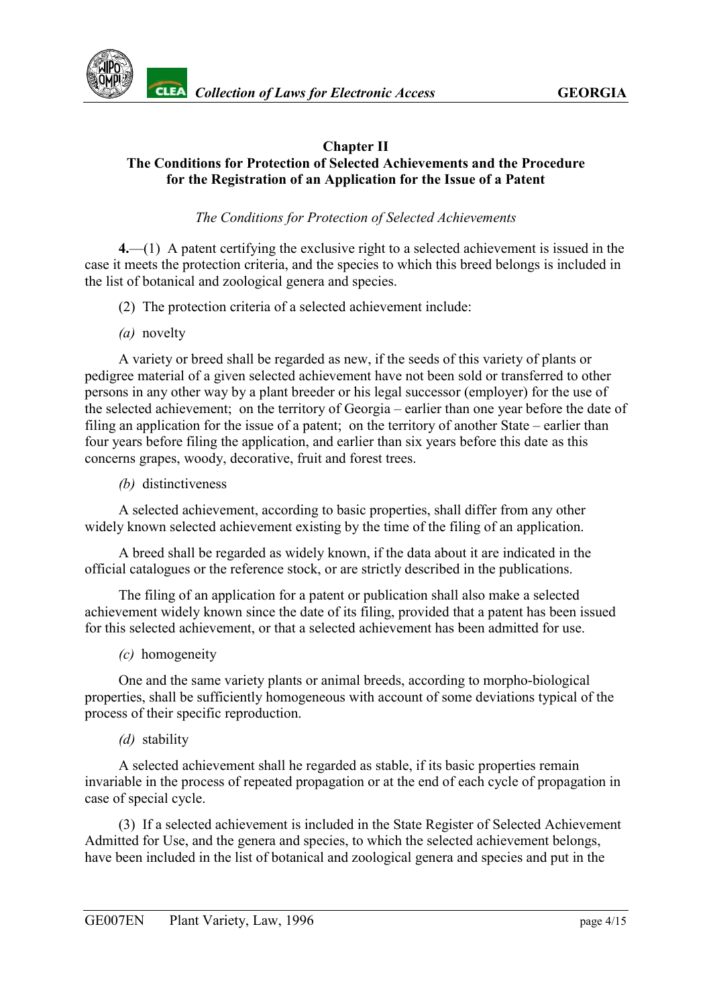

#### **Chapter II The Conditions for Protection of Selected Achievements and the Procedure for the Registration of an Application for the Issue of a Patent**

#### *The Conditions for Protection of Selected Achievements*

<span id="page-3-0"></span>**4.**—(1) A patent certifying the exclusive right to a selected achievement is issued in the case it meets the protection criteria, and the species to which this breed belongs is included in the list of botanical and zoological genera and species.

- (2) The protection criteria of a selected achievement include:
- *(a)* novelty

A variety or breed shall be regarded as new, if the seeds of this variety of plants or pedigree material of a given selected achievement have not been sold or transferred to other persons in any other way by a plant breeder or his legal successor (employer) for the use of the selected achievement; on the territory of Georgia – earlier than one year before the date of filing an application for the issue of a patent; on the territory of another State – earlier than four years before filing the application, and earlier than six years before this date as this concerns grapes, woody, decorative, fruit and forest trees.

*(b)* distinctiveness

A selected achievement, according to basic properties, shall differ from any other widely known selected achievement existing by the time of the filing of an application.

A breed shall be regarded as widely known, if the data about it are indicated in the official catalogues or the reference stock, or are strictly described in the publications.

The filing of an application for a patent or publication shall also make a selected achievement widely known since the date of its filing, provided that a patent has been issued for this selected achievement, or that a selected achievement has been admitted for use.

*(c)* homogeneity

One and the same variety plants or animal breeds, according to morpho-biological properties, shall be sufficiently homogeneous with account of some deviations typical of the process of their specific reproduction.

*(d)* stability

A selected achievement shall he regarded as stable, if its basic properties remain invariable in the process of repeated propagation or at the end of each cycle of propagation in case of special cycle.

(3) If a selected achievement is included in the State Register of Selected Achievement Admitted for Use, and the genera and species, to which the selected achievement belongs, have been included in the list of botanical and zoological genera and species and put in the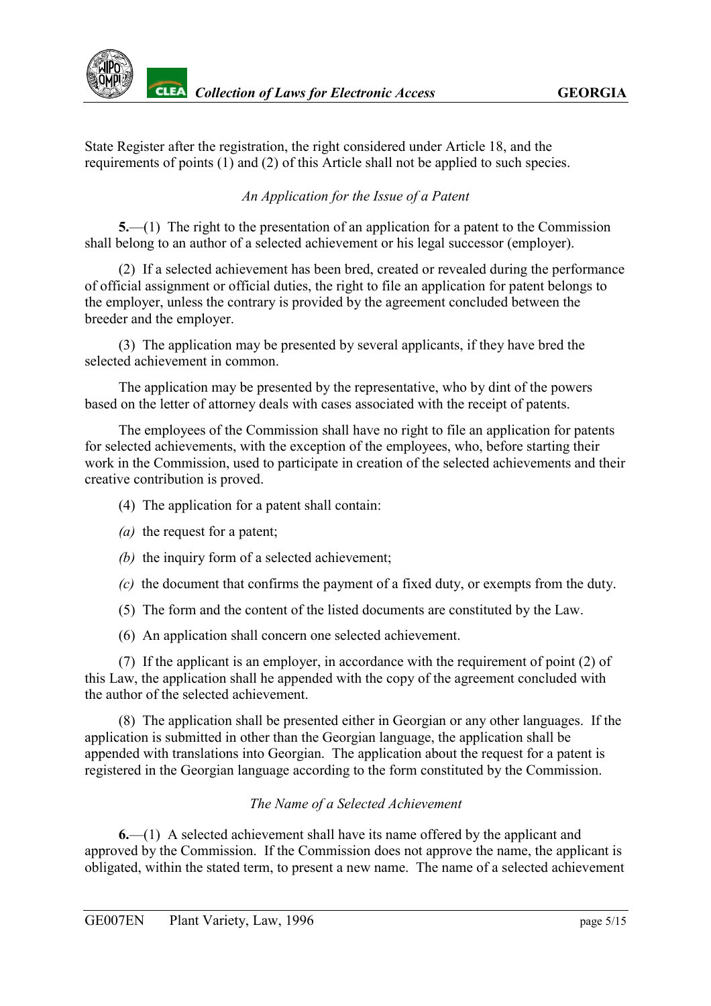State Register after the registration, the right considered under Article 18, and the requirements of points (1) and (2) of this Article shall not be applied to such species.

## *An Application for the Issue of a Patent*

<span id="page-4-0"></span>**5.**—(1) The right to the presentation of an application for a patent to the Commission shall belong to an author of a selected achievement or his legal successor (employer).

(2) If a selected achievement has been bred, created or revealed during the performance of official assignment or official duties, the right to file an application for patent belongs to the employer, unless the contrary is provided by the agreement concluded between the breeder and the employer.

(3) The application may be presented by several applicants, if they have bred the selected achievement in common.

The application may be presented by the representative, who by dint of the powers based on the letter of attorney deals with cases associated with the receipt of patents.

The employees of the Commission shall have no right to file an application for patents for selected achievements, with the exception of the employees, who, before starting their work in the Commission, used to participate in creation of the selected achievements and their creative contribution is proved.

- (4) The application for a patent shall contain:
- *(a)* the request for a patent;
- *(b)* the inquiry form of a selected achievement;
- *(c)* the document that confirms the payment of a fixed duty, or exempts from the duty.
- (5) The form and the content of the listed documents are constituted by the Law.
- (6) An application shall concern one selected achievement.

(7) If the applicant is an employer, in accordance with the requirement of point (2) of this Law, the application shall he appended with the copy of the agreement concluded with the author of the selected achievement.

(8) The application shall be presented either in Georgian or any other languages. If the application is submitted in other than the Georgian language, the application shall be appended with translations into Georgian. The application about the request for a patent is registered in the Georgian language according to the form constituted by the Commission.

# *The Name of a Selected Achievement*

<span id="page-4-1"></span>**6.**—(1) A selected achievement shall have its name offered by the applicant and approved by the Commission. If the Commission does not approve the name, the applicant is obligated, within the stated term, to present a new name. The name of a selected achievement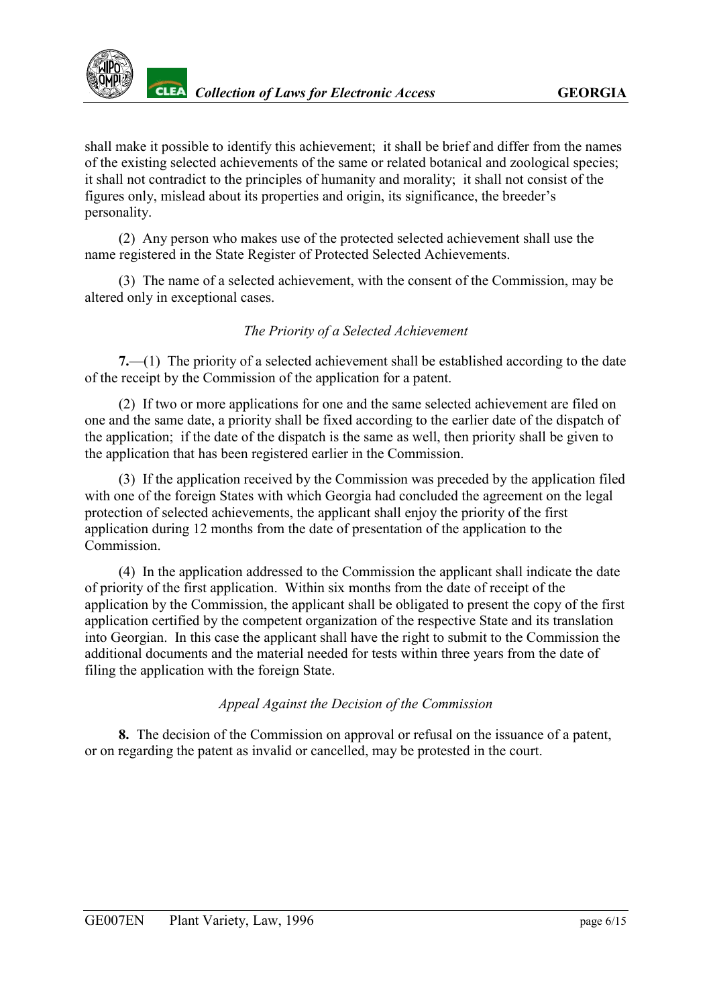shall make it possible to identify this achievement; it shall be brief and differ from the names of the existing selected achievements of the same or related botanical and zoological species; it shall not contradict to the principles of humanity and morality; it shall not consist of the figures only, mislead about its properties and origin, its significance, the breeder's personality.

(2) Any person who makes use of the protected selected achievement shall use the name registered in the State Register of Protected Selected Achievements.

(3) The name of a selected achievement, with the consent of the Commission, may be altered only in exceptional cases.

# *The Priority of a Selected Achievement*

<span id="page-5-0"></span>**7.**—(1) The priority of a selected achievement shall be established according to the date of the receipt by the Commission of the application for a patent.

(2) If two or more applications for one and the same selected achievement are filed on one and the same date, a priority shall be fixed according to the earlier date of the dispatch of the application; if the date of the dispatch is the same as well, then priority shall be given to the application that has been registered earlier in the Commission.

(3) If the application received by the Commission was preceded by the application filed with one of the foreign States with which Georgia had concluded the agreement on the legal protection of selected achievements, the applicant shall enjoy the priority of the first application during 12 months from the date of presentation of the application to the **Commission** 

(4) In the application addressed to the Commission the applicant shall indicate the date of priority of the first application. Within six months from the date of receipt of the application by the Commission, the applicant shall be obligated to present the copy of the first application certified by the competent organization of the respective State and its translation into Georgian. In this case the applicant shall have the right to submit to the Commission the additional documents and the material needed for tests within three years from the date of filing the application with the foreign State.

## *Appeal Against the Decision of the Commission*

<span id="page-5-1"></span>**8.** The decision of the Commission on approval or refusal on the issuance of a patent, or on regarding the patent as invalid or cancelled, may be protested in the court.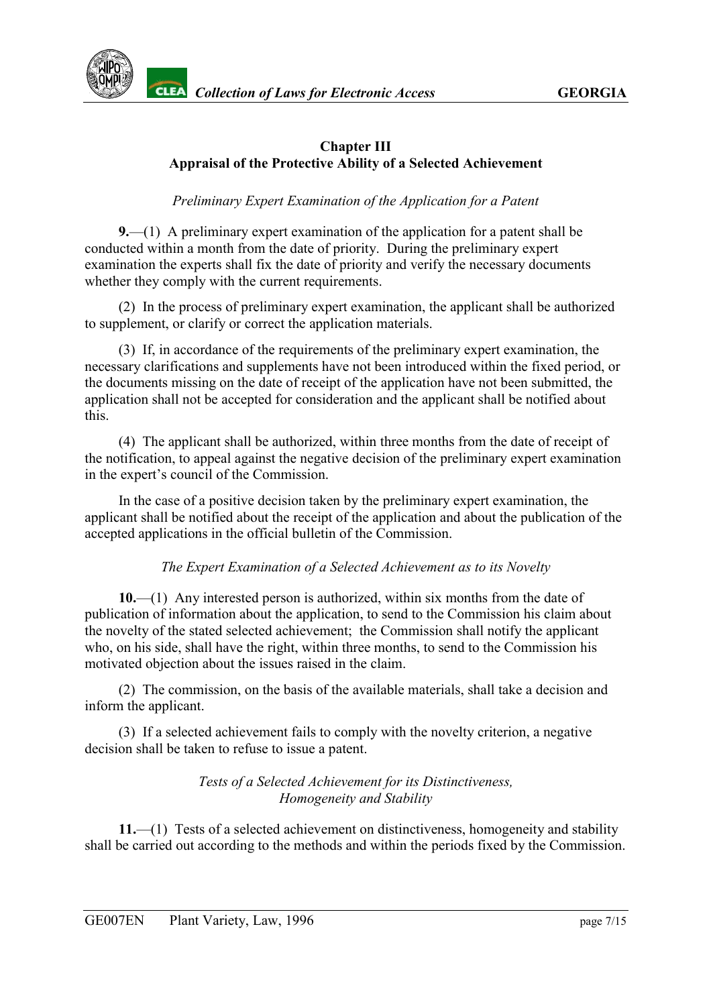

#### **Chapter III Appraisal of the Protective Ability of a Selected Achievement**

#### *Preliminary Expert Examination of the Application for a Patent*

<span id="page-6-0"></span>**9.**—(1) A preliminary expert examination of the application for a patent shall be conducted within a month from the date of priority. During the preliminary expert examination the experts shall fix the date of priority and verify the necessary documents whether they comply with the current requirements.

(2) In the process of preliminary expert examination, the applicant shall be authorized to supplement, or clarify or correct the application materials.

(3) If, in accordance of the requirements of the preliminary expert examination, the necessary clarifications and supplements have not been introduced within the fixed period, or the documents missing on the date of receipt of the application have not been submitted, the application shall not be accepted for consideration and the applicant shall be notified about this.

(4) The applicant shall be authorized, within three months from the date of receipt of the notification, to appeal against the negative decision of the preliminary expert examination in the expert's council of the Commission.

In the case of a positive decision taken by the preliminary expert examination, the applicant shall be notified about the receipt of the application and about the publication of the accepted applications in the official bulletin of the Commission.

#### *The Expert Examination of a Selected Achievement as to its Novelty*

<span id="page-6-1"></span>**10.**—(1) Any interested person is authorized, within six months from the date of publication of information about the application, to send to the Commission his claim about the novelty of the stated selected achievement; the Commission shall notify the applicant who, on his side, shall have the right, within three months, to send to the Commission his motivated objection about the issues raised in the claim.

(2) The commission, on the basis of the available materials, shall take a decision and inform the applicant.

(3) If a selected achievement fails to comply with the novelty criterion, a negative decision shall be taken to refuse to issue a patent.

> *Tests of a Selected Achievement for its Distinctiveness, Homogeneity and Stability*

<span id="page-6-2"></span>**11.**—(1) Tests of a selected achievement on distinctiveness, homogeneity and stability shall be carried out according to the methods and within the periods fixed by the Commission.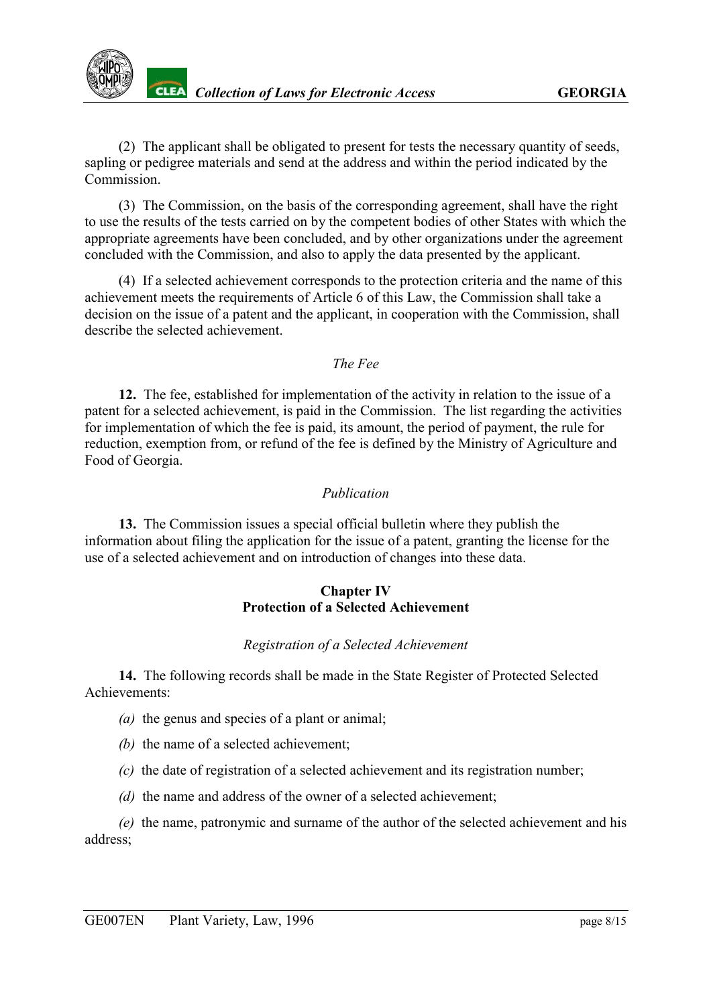

(2) The applicant shall be obligated to present for tests the necessary quantity of seeds, sapling or pedigree materials and send at the address and within the period indicated by the **Commission** 

(3) The Commission, on the basis of the corresponding agreement, shall have the right to use the results of the tests carried on by the competent bodies of other States with which the appropriate agreements have been concluded, and by other organizations under the agreement concluded with the Commission, and also to apply the data presented by the applicant.

(4) If a selected achievement corresponds to the protection criteria and the name of this achievement meets the requirements of Article 6 of this Law, the Commission shall take a decision on the issue of a patent and the applicant, in cooperation with the Commission, shall describe the selected achievement.

*The Fee*

<span id="page-7-0"></span>**12.** The fee, established for implementation of the activity in relation to the issue of a patent for a selected achievement, is paid in the Commission. The list regarding the activities for implementation of which the fee is paid, its amount, the period of payment, the rule for reduction, exemption from, or refund of the fee is defined by the Ministry of Agriculture and Food of Georgia.

#### *Publication*

<span id="page-7-1"></span>**13.** The Commission issues a special official bulletin where they publish the information about filing the application for the issue of a patent, granting the license for the use of a selected achievement and on introduction of changes into these data.

#### **Chapter IV Protection of a Selected Achievement**

#### *Registration of a Selected Achievement*

<span id="page-7-2"></span>**14.** The following records shall be made in the State Register of Protected Selected Achievements:

- *(a)* the genus and species of a plant or animal;
- *(b)* the name of a selected achievement;
- *(c)* the date of registration of a selected achievement and its registration number;
- *(d)* the name and address of the owner of a selected achievement;

*(e)* the name, patronymic and surname of the author of the selected achievement and his address;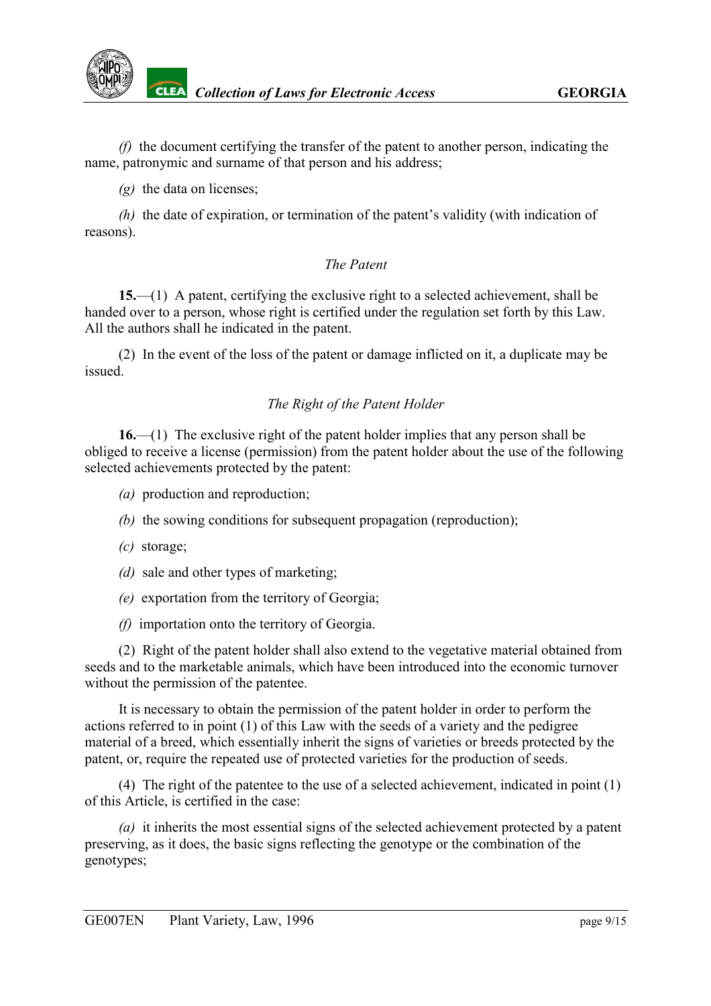

*(f)* the document certifying the transfer of the patent to another person, indicating the name, patronymic and surname of that person and his address;

*(g)* the data on licenses;

*(h)* the date of expiration, or termination of the patent's validity (with indication of reasons).

#### *The Patent*

<span id="page-8-0"></span>**15.**—(1) A patent, certifying the exclusive right to a selected achievement, shall be handed over to a person, whose right is certified under the regulation set forth by this Law. All the authors shall he indicated in the patent.

(2) In the event of the loss of the patent or damage inflicted on it, a duplicate may be issued.

#### *The Right of the Patent Holder*

<span id="page-8-1"></span>**16.**—(1) The exclusive right of the patent holder implies that any person shall be obliged to receive a license (permission) from the patent holder about the use of the following selected achievements protected by the patent:

- *(a)* production and reproduction;
- *(b)* the sowing conditions for subsequent propagation (reproduction);
- *(c)* storage;
- *(d)* sale and other types of marketing;
- *(e)* exportation from the territory of Georgia;
- *(f)* importation onto the territory of Georgia.

(2) Right of the patent holder shall also extend to the vegetative material obtained from seeds and to the marketable animals, which have been introduced into the economic turnover without the permission of the patentee.

It is necessary to obtain the permission of the patent holder in order to perform the actions referred to in point (1) of this Law with the seeds of a variety and the pedigree material of a breed, which essentially inherit the signs of varieties or breeds protected by the patent, or, require the repeated use of protected varieties for the production of seeds.

(4) The right of the patentee to the use of a selected achievement, indicated in point (1) of this Article, is certified in the case:

*(a)* it inherits the most essential signs of the selected achievement protected by a patent preserving, as it does, the basic signs reflecting the genotype or the combination of the genotypes;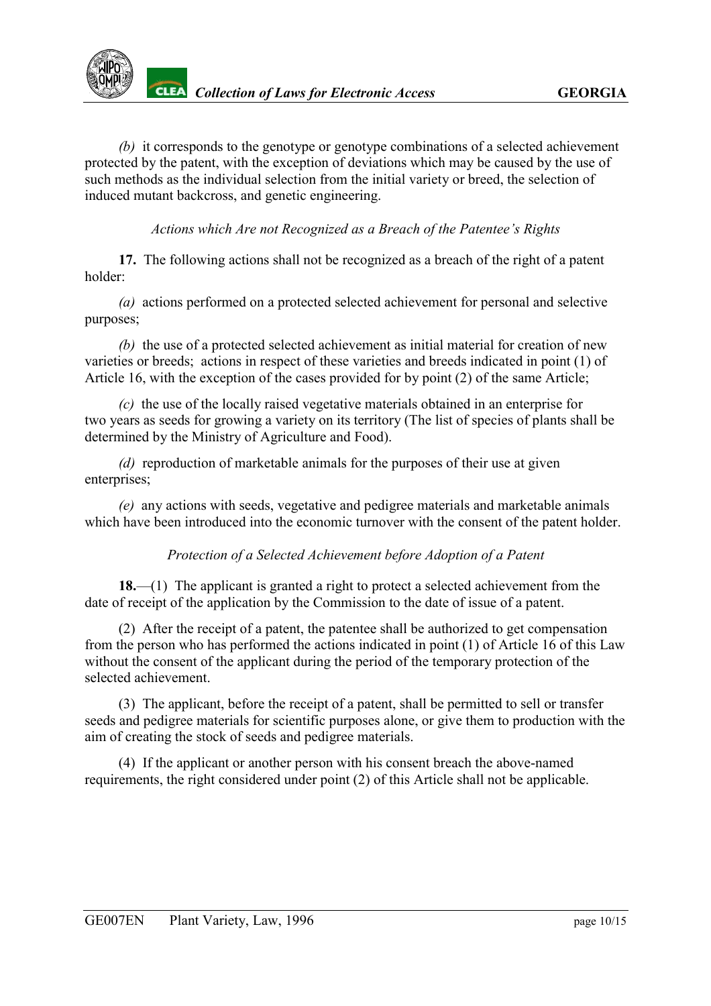

*(b)* it corresponds to the genotype or genotype combinations of a selected achievement protected by the patent, with the exception of deviations which may be caused by the use of such methods as the individual selection from the initial variety or breed, the selection of induced mutant backcross, and genetic engineering.

*Actions which Are not Recognized as a Breach of the Patentee's Rights*

<span id="page-9-0"></span>**17.** The following actions shall not be recognized as a breach of the right of a patent holder:

*(a)* actions performed on a protected selected achievement for personal and selective purposes;

*(b)* the use of a protected selected achievement as initial material for creation of new varieties or breeds; actions in respect of these varieties and breeds indicated in point (1) of Article 16, with the exception of the cases provided for by point (2) of the same Article;

*(c)* the use of the locally raised vegetative materials obtained in an enterprise for two years as seeds for growing a variety on its territory (The list of species of plants shall be determined by the Ministry of Agriculture and Food).

*(d)* reproduction of marketable animals for the purposes of their use at given enterprises:

*(e)* any actions with seeds, vegetative and pedigree materials and marketable animals which have been introduced into the economic turnover with the consent of the patent holder.

*Protection of a Selected Achievement before Adoption of a Patent*

<span id="page-9-1"></span>**18.**—(1) The applicant is granted a right to protect a selected achievement from the date of receipt of the application by the Commission to the date of issue of a patent.

(2) After the receipt of a patent, the patentee shall be authorized to get compensation from the person who has performed the actions indicated in point (1) of Article 16 of this Law without the consent of the applicant during the period of the temporary protection of the selected achievement.

(3) The applicant, before the receipt of a patent, shall be permitted to sell or transfer seeds and pedigree materials for scientific purposes alone, or give them to production with the aim of creating the stock of seeds and pedigree materials.

(4) If the applicant or another person with his consent breach the above-named requirements, the right considered under point (2) of this Article shall not be applicable.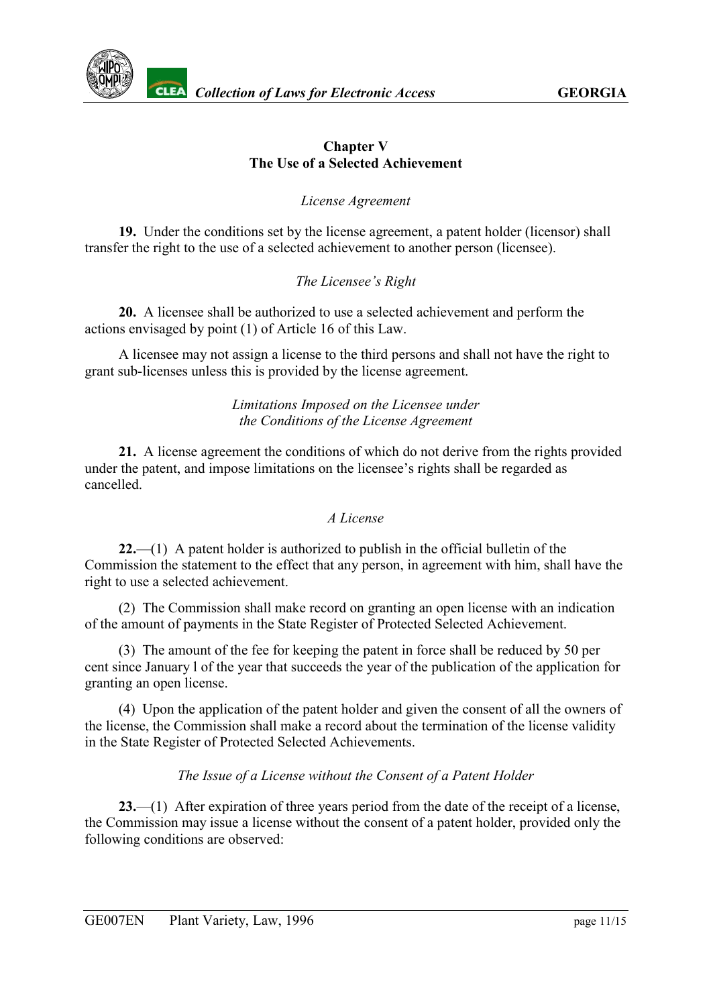

#### **Chapter V The Use of a Selected Achievement**

*License Agreement*

<span id="page-10-0"></span>**19.** Under the conditions set by the license agreement, a patent holder (licensor) shall transfer the right to the use of a selected achievement to another person (licensee).

## *The Licensee's Right*

<span id="page-10-1"></span>**20.** A licensee shall be authorized to use a selected achievement and perform the actions envisaged by point (1) of Article 16 of this Law.

A licensee may not assign a license to the third persons and shall not have the right to grant sub-licenses unless this is provided by the license agreement.

#### *Limitations Imposed on the Licensee under the Conditions of the License Agreement*

<span id="page-10-2"></span>**21.** A license agreement the conditions of which do not derive from the rights provided under the patent, and impose limitations on the licensee's rights shall be regarded as cancelled.

## *A License*

<span id="page-10-3"></span>**22.**—(1) A patent holder is authorized to publish in the official bulletin of the Commission the statement to the effect that any person, in agreement with him, shall have the right to use a selected achievement.

(2) The Commission shall make record on granting an open license with an indication of the amount of payments in the State Register of Protected Selected Achievement.

(3) The amount of the fee for keeping the patent in force shall be reduced by 50 per cent since January l of the year that succeeds the year of the publication of the application for granting an open license.

(4) Upon the application of the patent holder and given the consent of all the owners of the license, the Commission shall make a record about the termination of the license validity in the State Register of Protected Selected Achievements.

## *The Issue of a License without the Consent of a Patent Holder*

<span id="page-10-4"></span>**23.**—(1)After expiration of three years period from the date of the receipt of a license, the Commission may issue a license without the consent of a patent holder, provided only the following conditions are observed: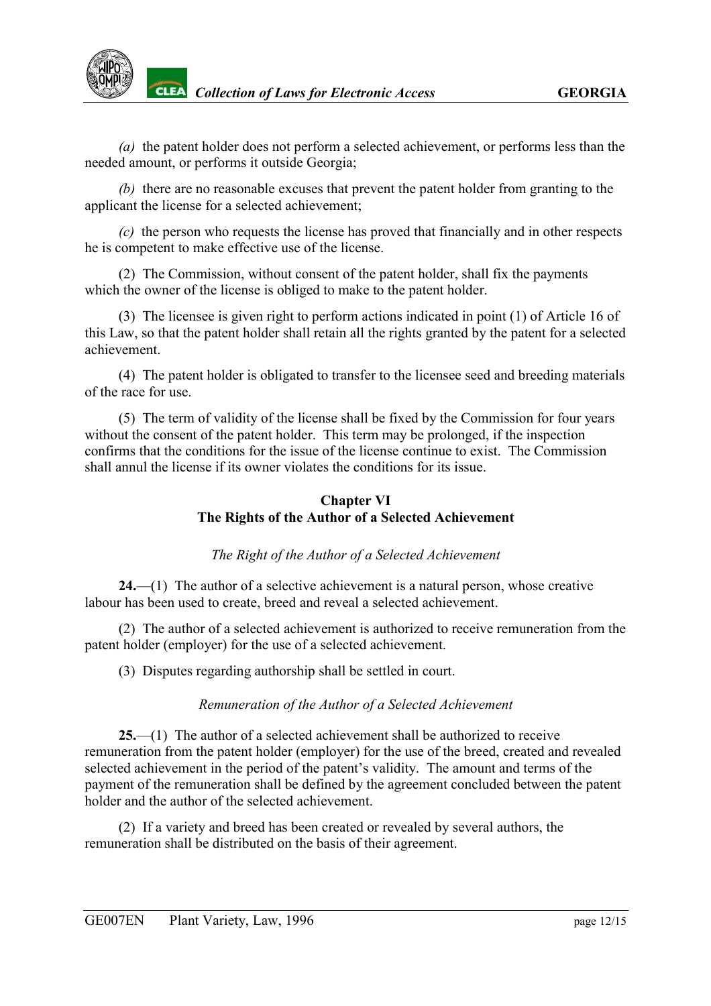

*(a)* the patent holder does not perform a selected achievement, or performs less than the needed amount, or performs it outside Georgia;

*(b)* there are no reasonable excuses that prevent the patent holder from granting to the applicant the license for a selected achievement;

*(c)* the person who requests the license has proved that financially and in other respects he is competent to make effective use of the license.

(2) The Commission, without consent of the patent holder, shall fix the payments which the owner of the license is obliged to make to the patent holder.

(3) The licensee is given right to perform actions indicated in point (1) of Article 16 of this Law, so that the patent holder shall retain all the rights granted by the patent for a selected achievement.

(4) The patent holder is obligated to transfer to the licensee seed and breeding materials of the race for use.

(5) The term of validity of the license shall be fixed by the Commission for four years without the consent of the patent holder. This term may be prolonged, if the inspection confirms that the conditions for the issue of the license continue to exist. The Commission shall annul the license if its owner violates the conditions for its issue.

## **Chapter VI The Rights of the Author of a Selected Achievement**

## *The Right of the Author of a Selected Achievement*

<span id="page-11-0"></span>**24.**—(1)The author of a selective achievement is a natural person, whose creative labour has been used to create, breed and reveal a selected achievement.

(2) The author of a selected achievement is authorized to receive remuneration from the patent holder (employer) for the use of a selected achievement.

(3) Disputes regarding authorship shall be settled in court.

## *Remuneration of the Author of a Selected Achievement*

<span id="page-11-1"></span>**25.**—(1) The author of a selected achievement shall be authorized to receive remuneration from the patent holder (employer) for the use of the breed, created and revealed selected achievement in the period of the patent's validity. The amount and terms of the payment of the remuneration shall be defined by the agreement concluded between the patent holder and the author of the selected achievement.

(2) If a variety and breed has been created or revealed by several authors, the remuneration shall be distributed on the basis of their agreement.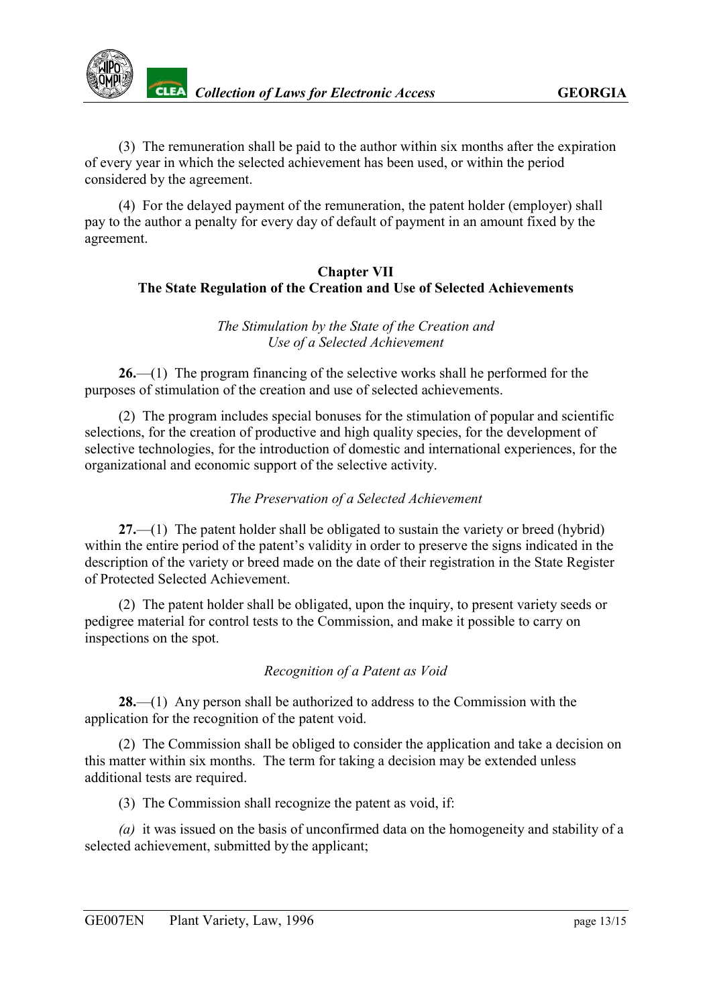

(3) The remuneration shall be paid to the author within six months after the expiration of every year in which the selected achievement has been used, or within the period considered by the agreement.

(4) For the delayed payment of the remuneration, the patent holder (employer) shall pay to the author a penalty for every day of default of payment in an amount fixed by the agreement.

#### **Chapter VII The State Regulation of the Creation and Use of Selected Achievements**

#### *The Stimulation by the State of the Creation and Use of a Selected Achievement*

<span id="page-12-0"></span>**26.**—(1) The program financing of the selective works shall he performed for the purposes of stimulation of the creation and use of selected achievements.

(2) The program includes special bonuses for the stimulation of popular and scientific selections, for the creation of productive and high quality species, for the development of selective technologies, for the introduction of domestic and international experiences, for the organizational and economic support of the selective activity.

## *The Preservation of a Selected Achievement*

<span id="page-12-1"></span>**27.**—(1) The patent holder shall be obligated to sustain the variety or breed (hybrid) within the entire period of the patent's validity in order to preserve the signs indicated in the description of the variety or breed made on the date of their registration in the State Register of Protected Selected Achievement.

(2) The patent holder shall be obligated, upon the inquiry, to present variety seeds or pedigree material for control tests to the Commission, and make it possible to carry on inspections on the spot.

## *Recognition of a Patent as Void*

<span id="page-12-2"></span>**28.**—(1) Any person shall be authorized to address to the Commission with the application for the recognition of the patent void.

(2) The Commission shall be obliged to consider the application and take a decision on this matter within six months. The term for taking a decision may be extended unless additional tests are required.

(3) The Commission shall recognize the patent as void, if:

*(a)* it was issued on the basis of unconfirmed data on the homogeneity and stability of a selected achievement, submitted by the applicant;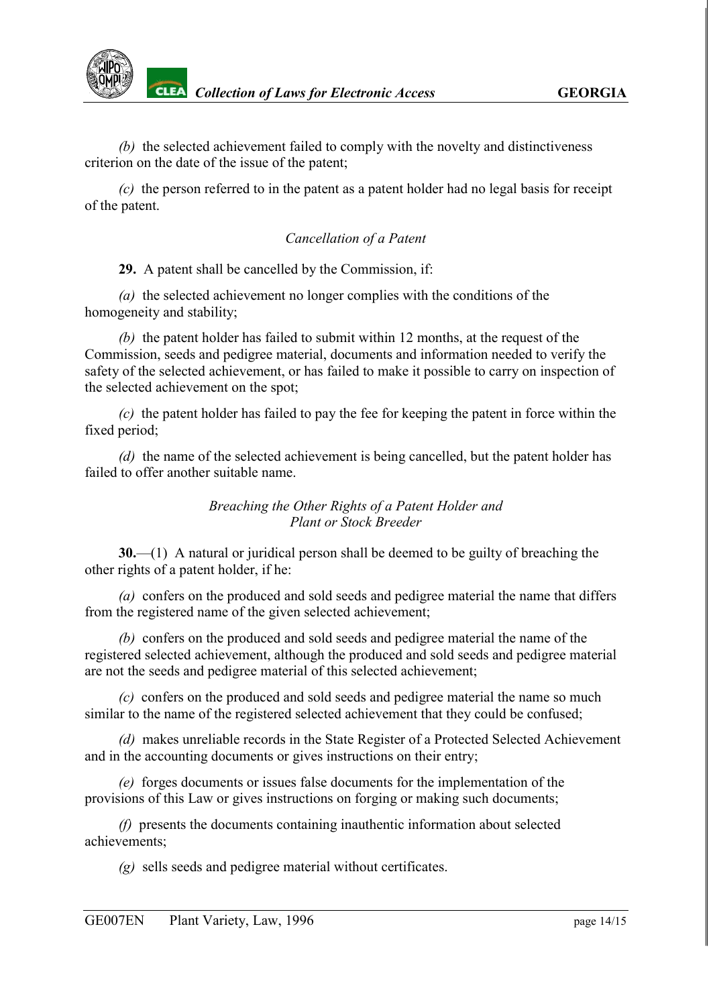

*(b)* the selected achievement failed to comply with the novelty and distinctiveness criterion on the date of the issue of the patent;

*(c)* the person referred to in the patent as a patent holder had no legal basis for receipt of the patent.

#### *Cancellation of a Patent*

<span id="page-13-0"></span>**29.** A patent shall be cancelled by the Commission, if:

*(a)* the selected achievement no longer complies with the conditions of the homogeneity and stability;

*(b)* the patent holder has failed to submit within 12 months, at the request of the Commission, seeds and pedigree material, documents and information needed to verify the safety of the selected achievement, or has failed to make it possible to carry on inspection of the selected achievement on the spot;

*(c)* the patent holder has failed to pay the fee for keeping the patent in force within the fixed period;

*(d)* the name of the selected achievement is being cancelled, but the patent holder has failed to offer another suitable name.

> *Breaching the Other Rights of a Patent Holder and Plant or Stock Breeder*

<span id="page-13-1"></span>**30.**—(1) A natural or juridical person shall be deemed to be guilty of breaching the other rights of a patent holder, if he:

*(a)* confers on the produced and sold seeds and pedigree material the name that differs from the registered name of the given selected achievement;

*(b)* confers on the produced and sold seeds and pedigree material the name of the registered selected achievement, although the produced and sold seeds and pedigree material are not the seeds and pedigree material of this selected achievement;

*(c)* confers on the produced and sold seeds and pedigree material the name so much similar to the name of the registered selected achievement that they could be confused;

*(d)* makes unreliable records in the State Register of a Protected Selected Achievement and in the accounting documents or gives instructions on their entry;

*(e)* forges documents or issues false documents for the implementation of the provisions of this Law or gives instructions on forging or making such documents;

*(f)* presents the documents containing inauthentic information about selected achievements;

*(g)* sells seeds and pedigree material without certificates.